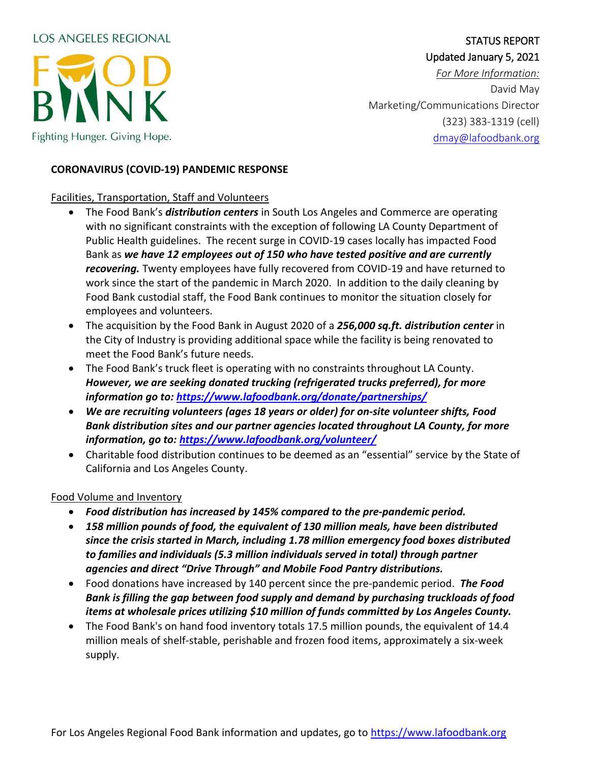# **LOS ANGELES REGIONAL**



## STATUS REPORT Updated January 5, 2021

*For More Information:* David May Marketing/Communications Director (323) 383-1319 (cell) [dmay@lafoodbank.org](mailto:dmay@lafoodbank.org)

#### **CORONAVIRUS (COVID-19) PANDEMIC RESPONSE**

## Facilities, Transportation, Staff and Volunteers

- The Food Bank's *distribution centers* in South Los Angeles and Commerce are operating with no significant constraints with the exception of following LA County Department of Public Health guidelines. The recent surge in COVID-19 cases locally has impacted Food Bank as *we have 12 employees out of 150 who have tested positive and are currently recovering.* Twenty employees have fully recovered from COVID-19 and have returned to work since the start of the pandemic in March 2020. In addition to the daily cleaning by Food Bank custodial staff, the Food Bank continues to monitor the situation closely for employees and volunteers.
- The acquisition by the Food Bank in August 2020 of a *256,000 sq.ft. distribution center* in the City of Industry is providing additional space while the facility is being renovated to meet the Food Bank's future needs.
- The Food Bank's truck fleet is operating with no constraints throughout LA County. *However, we are seeking donated trucking (refrigerated trucks preferred), for more information go to:<https://www.lafoodbank.org/donate/partnerships/>*
- *We are recruiting volunteers (ages 18 years or older) for on-site volunteer shifts, Food Bank distribution sites and our partner agencies located throughout LA County, for more information, go to:<https://www.lafoodbank.org/volunteer/>*
- Charitable food distribution continues to be deemed as an "essential" service by the State of California and Los Angeles County.

#### Food Volume and Inventory

- *Food distribution has increased by 145% compared to the pre-pandemic period.*
- *158 million pounds of food, the equivalent of 130 million meals, have been distributed since the crisis started in March, including 1.78 million emergency food boxes distributed to families and individuals (5.3 million individuals served in total) through partner agencies and direct "Drive Through" and Mobile Food Pantry distributions.*
- Food donations have increased by 140 percent since the pre-pandemic period. *The Food Bank is filling the gap between food supply and demand by purchasing truckloads of food items at wholesale prices utilizing \$10 million of funds committed by Los Angeles County.*
- The Food Bank's on hand food inventory totals 17.5 million pounds, the equivalent of 14.4 million meals of shelf-stable, perishable and frozen food items, approximately a six-week supply.